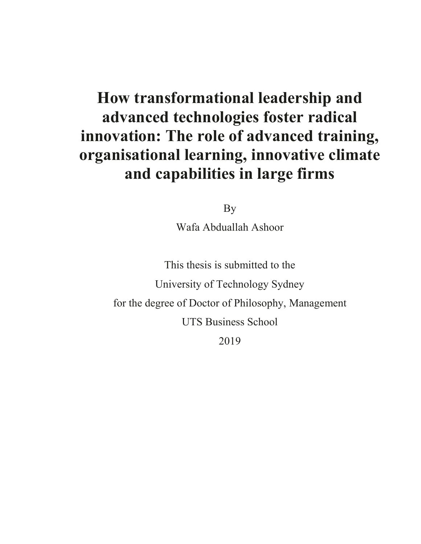# **How transformational leadership and advanced technologies foster radical innovation: The role of advanced training, organisational learning, innovative climate and capabilities in large firms**

By

Wafa Abduallah Ashoor

This thesis is submitted to the University of Technology Sydney for the degree of Doctor of Philosophy, Management UTS Business School 2019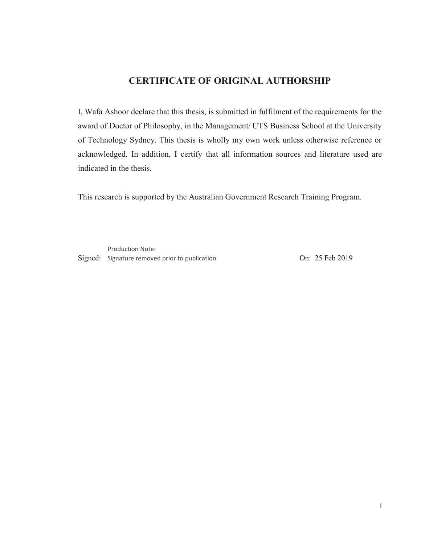#### **CERTIFICATE OF ORIGINAL AUTHORSHIP**

I, Wafa Ashoor declare that this thesis, is submitted in fulfilment of the requirements for the award of Doctor of Philosophy, in the Management/ UTS Business School at the University of Technology Sydney. This thesis is wholly my own work unless otherwise reference or acknowledged. In addition, I certify that all information sources and literature used are indicated in the thesis.

This research is supported by the Australian Government Research Training Program.

Production Note:

Signed: Signature removed prior to publication. Con: 25 Feb 2019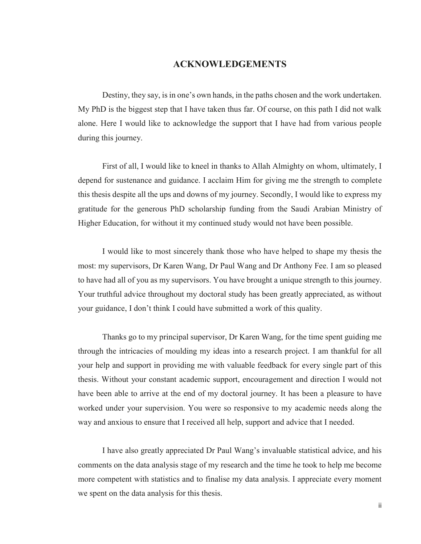#### **ACKNOWLEDGEMENTS**

Destiny, they say, is in one's own hands, in the paths chosen and the work undertaken. My PhD is the biggest step that I have taken thus far. Of course, on this path I did not walk alone. Here I would like to acknowledge the support that I have had from various people during this journey.

First of all, I would like to kneel in thanks to Allah Almighty on whom, ultimately, I depend for sustenance and guidance. I acclaim Him for giving me the strength to complete this thesis despite all the ups and downs of my journey. Secondly, I would like to express my gratitude for the generous PhD scholarship funding from the Saudi Arabian Ministry of Higher Education, for without it my continued study would not have been possible.

I would like to most sincerely thank those who have helped to shape my thesis the most: my supervisors, Dr Karen Wang, Dr Paul Wang and Dr Anthony Fee. I am so pleased to have had all of you as my supervisors. You have brought a unique strength to this journey. Your truthful advice throughout my doctoral study has been greatly appreciated, as without your guidance, I don't think I could have submitted a work of this quality.

Thanks go to my principal supervisor, Dr Karen Wang, for the time spent guiding me through the intricacies of moulding my ideas into a research project. I am thankful for all your help and support in providing me with valuable feedback for every single part of this thesis. Without your constant academic support, encouragement and direction I would not have been able to arrive at the end of my doctoral journey. It has been a pleasure to have worked under your supervision. You were so responsive to my academic needs along the way and anxious to ensure that I received all help, support and advice that I needed.

I have also greatly appreciated Dr Paul Wang's invaluable statistical advice, and his comments on the data analysis stage of my research and the time he took to help me become more competent with statistics and to finalise my data analysis. I appreciate every moment we spent on the data analysis for this thesis.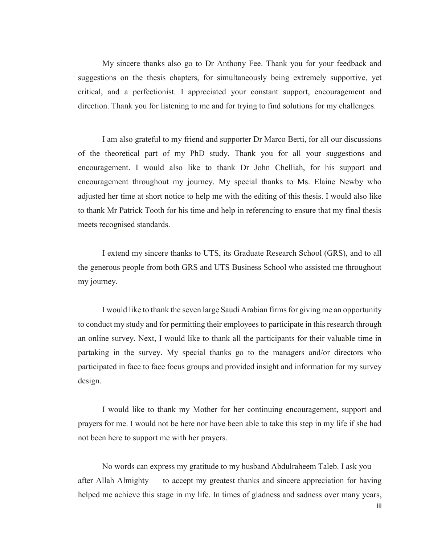My sincere thanks also go to Dr Anthony Fee. Thank you for your feedback and suggestions on the thesis chapters, for simultaneously being extremely supportive, yet critical, and a perfectionist. I appreciated your constant support, encouragement and direction. Thank you for listening to me and for trying to find solutions for my challenges.

I am also grateful to my friend and supporter Dr Marco Berti, for all our discussions of the theoretical part of my PhD study. Thank you for all your suggestions and encouragement. I would also like to thank Dr John Chelliah, for his support and encouragement throughout my journey. My special thanks to Ms. Elaine Newby who adjusted her time at short notice to help me with the editing of this thesis. I would also like to thank Mr Patrick Tooth for his time and help in referencing to ensure that my final thesis meets recognised standards.

I extend my sincere thanks to UTS, its Graduate Research School (GRS), and to all the generous people from both GRS and UTS Business School who assisted me throughout my journey.

I would like to thank the seven large Saudi Arabian firms for giving me an opportunity to conduct my study and for permitting their employees to participate in this research through an online survey. Next, I would like to thank all the participants for their valuable time in partaking in the survey. My special thanks go to the managers and/or directors who participated in face to face focus groups and provided insight and information for my survey design.

I would like to thank my Mother for her continuing encouragement, support and prayers for me. I would not be here nor have been able to take this step in my life if she had not been here to support me with her prayers.

No words can express my gratitude to my husband Abdulraheem Taleb. I ask you after Allah Almighty — to accept my greatest thanks and sincere appreciation for having helped me achieve this stage in my life. In times of gladness and sadness over many years,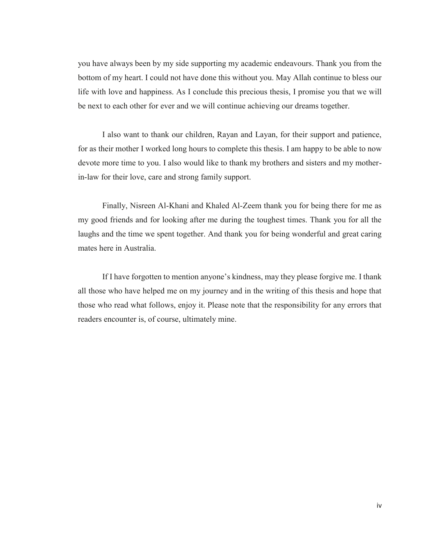you have always been by my side supporting my academic endeavours. Thank you from the bottom of my heart. I could not have done this without you. May Allah continue to bless our life with love and happiness. As I conclude this precious thesis, I promise you that we will be next to each other for ever and we will continue achieving our dreams together.

I also want to thank our children, Rayan and Layan, for their support and patience, for as their mother I worked long hours to complete this thesis. I am happy to be able to now devote more time to you. I also would like to thank my brothers and sisters and my motherin-law for their love, care and strong family support.

Finally, Nisreen Al-Khani and Khaled Al-Zeem thank you for being there for me as my good friends and for looking after me during the toughest times. Thank you for all the laughs and the time we spent together. And thank you for being wonderful and great caring mates here in Australia.

If I have forgotten to mention anyone's kindness, may they please forgive me. I thank all those who have helped me on my journey and in the writing of this thesis and hope that those who read what follows, enjoy it. Please note that the responsibility for any errors that readers encounter is, of course, ultimately mine.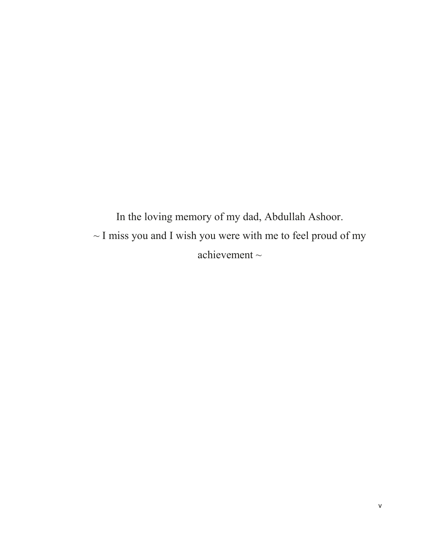In the loving memory of my dad, Abdullah Ashoor.  $\sim$  I miss you and I wish you were with me to feel proud of my achievement  $\sim$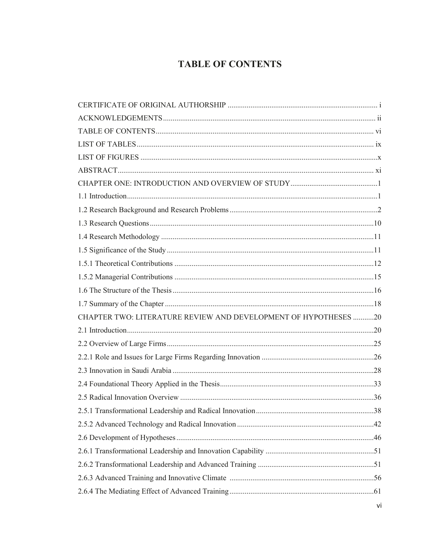## **TABLE OF CONTENTS**

| CHAPTER TWO: LITERATURE REVIEW AND DEVELOPMENT OF HYPOTHESES 20 |  |
|-----------------------------------------------------------------|--|
|                                                                 |  |
|                                                                 |  |
|                                                                 |  |
|                                                                 |  |
|                                                                 |  |
|                                                                 |  |
|                                                                 |  |
|                                                                 |  |
|                                                                 |  |
|                                                                 |  |
|                                                                 |  |
|                                                                 |  |
|                                                                 |  |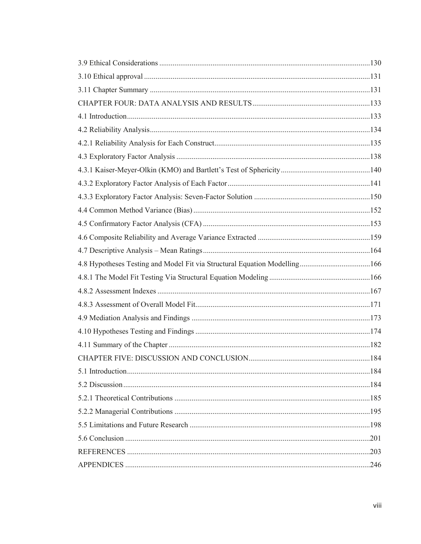| 4.8 Hypotheses Testing and Model Fit via Structural Equation Modelling166 |  |
|---------------------------------------------------------------------------|--|
|                                                                           |  |
|                                                                           |  |
|                                                                           |  |
|                                                                           |  |
|                                                                           |  |
|                                                                           |  |
|                                                                           |  |
|                                                                           |  |
|                                                                           |  |
|                                                                           |  |
|                                                                           |  |
|                                                                           |  |
|                                                                           |  |
|                                                                           |  |
|                                                                           |  |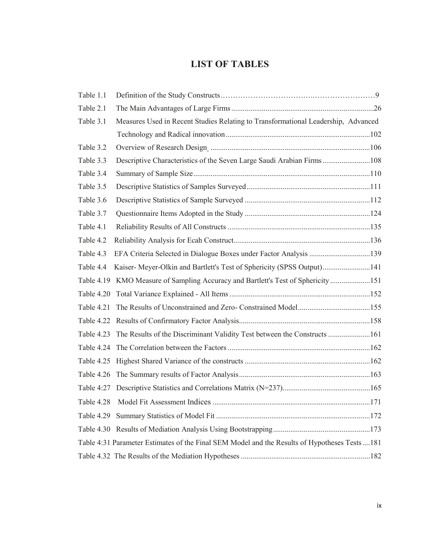### **LIST OF TABLES**

| Table 1.1  |                                                                                              |  |
|------------|----------------------------------------------------------------------------------------------|--|
| Table 2.1  |                                                                                              |  |
| Table 3.1  | Measures Used in Recent Studies Relating to Transformational Leadership, Advanced            |  |
|            |                                                                                              |  |
| Table 3.2  |                                                                                              |  |
| Table 3.3  | Descriptive Characteristics of the Seven Large Saudi Arabian Firms  108                      |  |
| Table 3.4  |                                                                                              |  |
| Table 3.5  |                                                                                              |  |
| Table 3.6  |                                                                                              |  |
| Table 3.7  |                                                                                              |  |
| Table 4.1  |                                                                                              |  |
| Table 4.2  |                                                                                              |  |
| Table 4.3  |                                                                                              |  |
| Table 4.4  | Kaiser- Meyer-Olkin and Bartlett's Test of Sphericity (SPSS Output)141                       |  |
| Table 4.19 | KMO Measure of Sampling Accuracy and Bartlett's Test of Sphericity 151                       |  |
|            |                                                                                              |  |
| Table 4.21 |                                                                                              |  |
|            |                                                                                              |  |
|            | Table 4.23 The Results of the Discriminant Validity Test between the Constructs 161          |  |
|            |                                                                                              |  |
|            |                                                                                              |  |
|            |                                                                                              |  |
|            |                                                                                              |  |
|            |                                                                                              |  |
| Table 4.29 |                                                                                              |  |
|            |                                                                                              |  |
|            | Table 4:31 Parameter Estimates of the Final SEM Model and the Results of Hypotheses Tests181 |  |
|            |                                                                                              |  |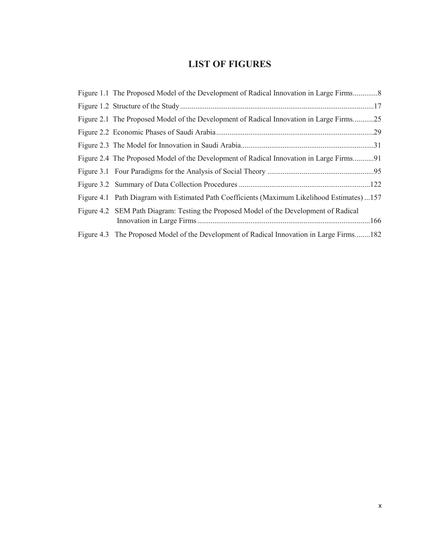## **LIST OF FIGURES**

| Figure 2.1 The Proposed Model of the Development of Radical Innovation in Large Firms25     |
|---------------------------------------------------------------------------------------------|
|                                                                                             |
|                                                                                             |
| Figure 2.4 The Proposed Model of the Development of Radical Innovation in Large Firms91     |
|                                                                                             |
|                                                                                             |
| Figure 4.1 Path Diagram with Estimated Path Coefficients (Maximum Likelihood Estimates) 157 |
| Figure 4.2 SEM Path Diagram: Testing the Proposed Model of the Development of Radical       |
| Figure 4.3 The Proposed Model of the Development of Radical Innovation in Large Firms182    |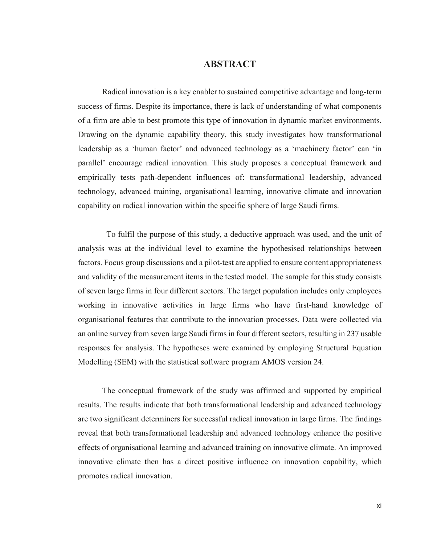#### **ABSTRACT**

Radical innovation is a key enabler to sustained competitive advantage and long-term success of firms. Despite its importance, there is lack of understanding of what components of a firm are able to best promote this type of innovation in dynamic market environments. Drawing on the dynamic capability theory, this study investigates how transformational leadership as a 'human factor' and advanced technology as a 'machinery factor' can 'in parallel' encourage radical innovation. This study proposes a conceptual framework and empirically tests path-dependent influences of: transformational leadership, advanced technology, advanced training, organisational learning, innovative climate and innovation capability on radical innovation within the specific sphere of large Saudi firms.

 To fulfil the purpose of this study, a deductive approach was used, and the unit of analysis was at the individual level to examine the hypothesised relationships between factors. Focus group discussions and a pilot-test are applied to ensure content appropriateness and validity of the measurement items in the tested model. The sample for this study consists of seven large firms in four different sectors. The target population includes only employees working in innovative activities in large firms who have first-hand knowledge of organisational features that contribute to the innovation processes. Data were collected via an online survey from seven large Saudi firms in four different sectors, resulting in 237 usable responses for analysis. The hypotheses were examined by employing Structural Equation Modelling (SEM) with the statistical software program AMOS version 24.

The conceptual framework of the study was affirmed and supported by empirical results. The results indicate that both transformational leadership and advanced technology are two significant determiners for successful radical innovation in large firms. The findings reveal that both transformational leadership and advanced technology enhance the positive effects of organisational learning and advanced training on innovative climate. An improved innovative climate then has a direct positive influence on innovation capability, which promotes radical innovation.